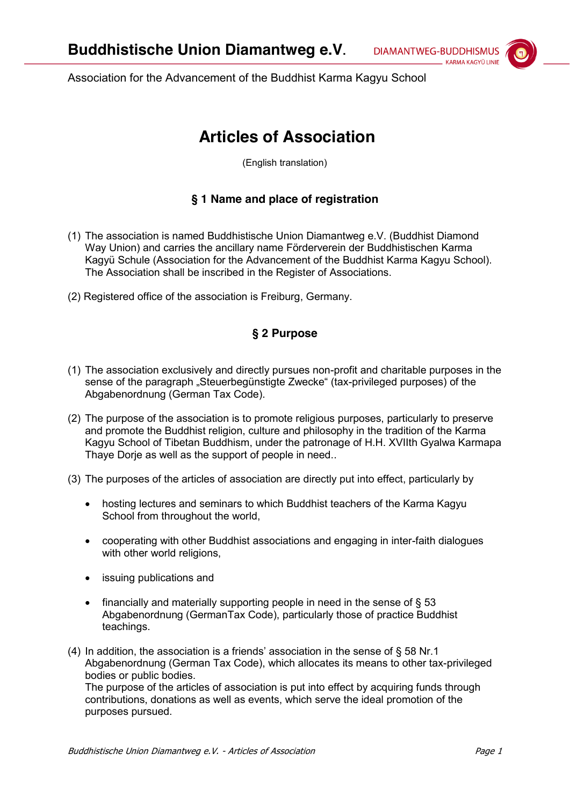**DIAMANTWEG-BUDDHISMUS** KARMA KAGYÜ LINIF

Association for the Advancement of the Buddhist Karma Kagyu School

# **Articles of Association**

(English translation)

## **§ 1 Name and place of registration**

- (1) The association is named Buddhistische Union Diamantweg e.V. (Buddhist Diamond Way Union) and carries the ancillary name Förderverein der Buddhistischen Karma Kagyü Schule (Association for the Advancement of the Buddhist Karma Kagyu School). The Association shall be inscribed in the Register of Associations.
- (2) Registered office of the association is Freiburg, Germany.

## **§ 2 Purpose**

- (1) The association exclusively and directly pursues non-profit and charitable purposes in the sense of the paragraph "Steuerbegünstigte Zwecke" (tax-privileged purposes) of the Abgabenordnung (German Tax Code).
- (2) The purpose of the association is to promote religious purposes, particularly to preserve and promote the Buddhist religion, culture and philosophy in the tradition of the Karma Kagyu School of Tibetan Buddhism, under the patronage of H.H. XVIIth Gyalwa Karmapa Thaye Dorje as well as the support of people in need..
- (3) The purposes of the articles of association are directly put into effect, particularly by
	- hosting lectures and seminars to which Buddhist teachers of the Karma Kagyu School from throughout the world,
	- cooperating with other Buddhist associations and engaging in inter-faith dialogues with other world religions.
	- issuing publications and
	- financially and materially supporting people in need in the sense of  $\S$  53 Abgabenordnung (GermanTax Code), particularly those of practice Buddhist teachings.
- (4) In addition, the association is a friends' association in the sense of § 58 Nr.1 Abgabenordnung (German Tax Code), which allocates its means to other tax-privileged bodies or public bodies. The purpose of the articles of association is put into effect by acquiring funds through

contributions, donations as well as events, which serve the ideal promotion of the purposes pursued.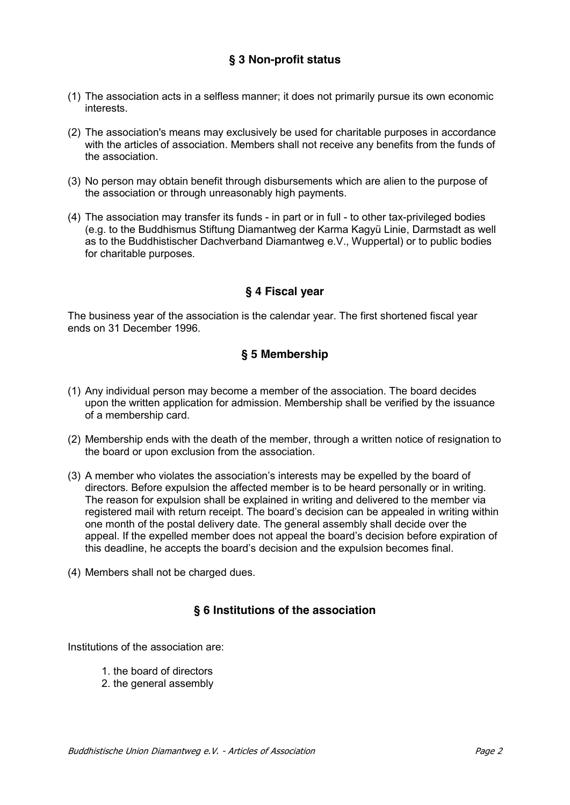### **§ 3 Non-profit status**

- (1) The association acts in a selfless manner; it does not primarily pursue its own economic interests.
- (2) The association's means may exclusively be used for charitable purposes in accordance with the articles of association. Members shall not receive any benefits from the funds of the association.
- (3) No person may obtain benefit through disbursements which are alien to the purpose of the association or through unreasonably high payments.
- (4) The association may transfer its funds in part or in full to other tax-privileged bodies (e.g. to the Buddhismus Stiftung Diamantweg der Karma Kagyü Linie, Darmstadt as well as to the Buddhistischer Dachverband Diamantweg e.V., Wuppertal) or to public bodies for charitable purposes.

#### **§ 4 Fiscal year**

The business year of the association is the calendar year. The first shortened fiscal year ends on 31 December 1996.

#### **§ 5 Membership**

- (1) Any individual person may become a member of the association. The board decides upon the written application for admission. Membership shall be verified by the issuance of a membership card.
- (2) Membership ends with the death of the member, through a written notice of resignation to the board or upon exclusion from the association.
- (3) A member who violates the association's interests may be expelled by the board of directors. Before expulsion the affected member is to be heard personally or in writing. The reason for expulsion shall be explained in writing and delivered to the member via registered mail with return receipt. The board's decision can be appealed in writing within one month of the postal delivery date. The general assembly shall decide over the appeal. If the expelled member does not appeal the board's decision before expiration of this deadline, he accepts the board's decision and the expulsion becomes final.
- (4) Members shall not be charged dues.

#### **§ 6 Institutions of the association**

Institutions of the association are:

- 1. the board of directors
- 2. the general assembly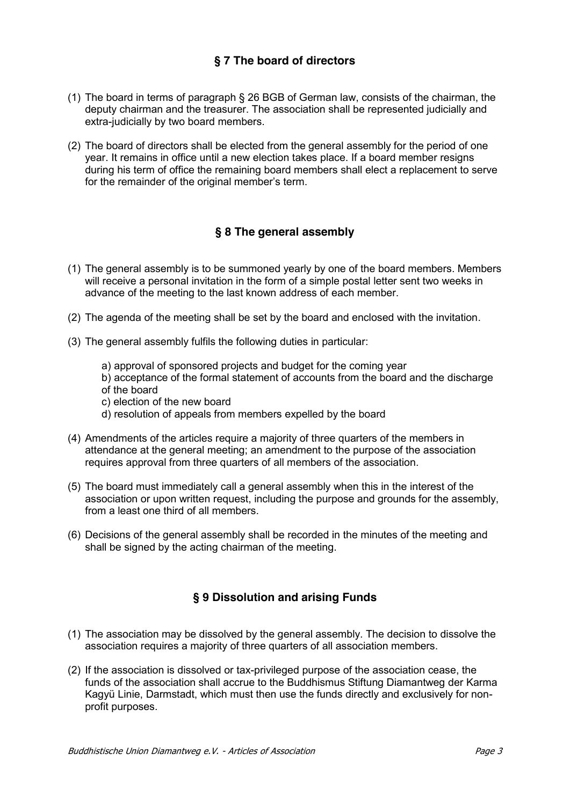## **§ 7 The board of directors**

- (1) The board in terms of paragraph § 26 BGB of German law, consists of the chairman, the deputy chairman and the treasurer. The association shall be represented judicially and extra-judicially by two board members.
- (2) The board of directors shall be elected from the general assembly for the period of one year. It remains in office until a new election takes place. If a board member resigns during his term of office the remaining board members shall elect a replacement to serve for the remainder of the original member's term.

## **§ 8 The general assembly**

- (1) The general assembly is to be summoned yearly by one of the board members. Members will receive a personal invitation in the form of a simple postal letter sent two weeks in advance of the meeting to the last known address of each member.
- (2) The agenda of the meeting shall be set by the board and enclosed with the invitation.
- (3) The general assembly fulfils the following duties in particular:
	- a) approval of sponsored projects and budget for the coming year
	- b) acceptance of the formal statement of accounts from the board and the discharge of the board
	- c) election of the new board
	- d) resolution of appeals from members expelled by the board
- (4) Amendments of the articles require a majority of three quarters of the members in attendance at the general meeting; an amendment to the purpose of the association requires approval from three quarters of all members of the association.
- (5) The board must immediately call a general assembly when this in the interest of the association or upon written request, including the purpose and grounds for the assembly, from a least one third of all members.
- (6) Decisions of the general assembly shall be recorded in the minutes of the meeting and shall be signed by the acting chairman of the meeting.

# **§ 9 Dissolution and arising Funds**

- (1) The association may be dissolved by the general assembly. The decision to dissolve the association requires a majority of three quarters of all association members.
- (2) If the association is dissolved or tax-privileged purpose of the association cease, the funds of the association shall accrue to the Buddhismus Stiftung Diamantweg der Karma Kagyü Linie, Darmstadt, which must then use the funds directly and exclusively for nonprofit purposes.